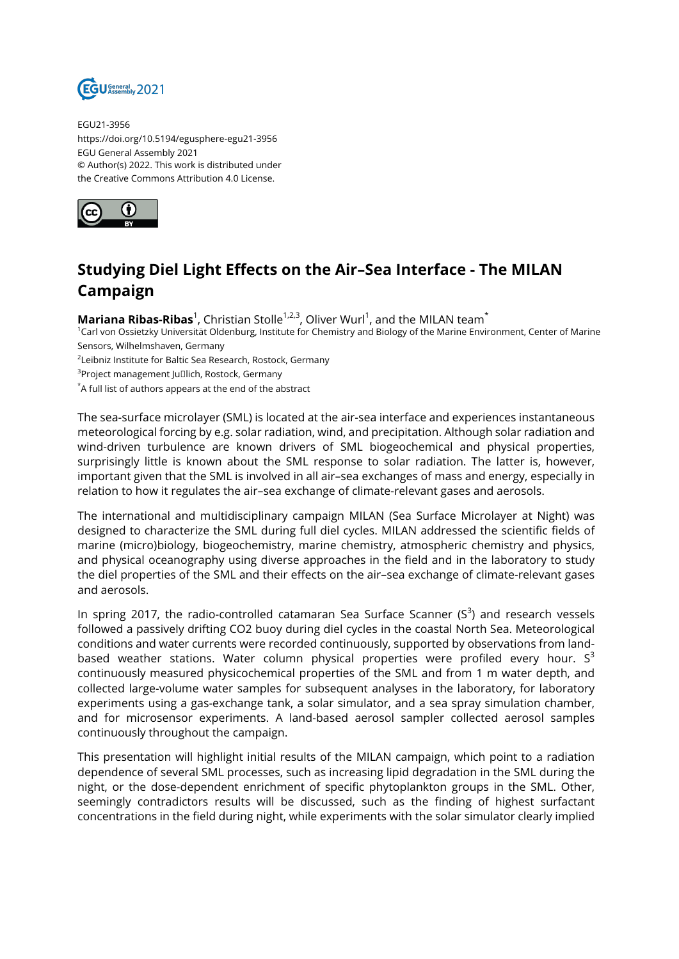

EGU21-3956 https://doi.org/10.5194/egusphere-egu21-3956 EGU General Assembly 2021 © Author(s) 2022. This work is distributed under the Creative Commons Attribution 4.0 License.



## **Studying Diel Light Effects on the Air–Sea Interface - The MILAN Campaign**

**Mariana Ribas-Ribas**<sup>1</sup>, Christian Stolle<sup>1,2,3</sup>, Oliver Wurl<sup>1</sup>, and the MILAN team<sup>\*</sup>

<sup>1</sup>Carl von Ossietzky Universität Oldenburg, Institute for Chemistry and Biology of the Marine Environment, Center of Marine Sensors, Wilhelmshaven, Germany

<sup>2</sup>Leibniz Institute for Baltic Sea Research, Rostock, Germany

 $^3$ Project management Ju $\Box$ lich, Rostock, Germany

\*A full list of authors appears at the end of the abstract

The sea-surface microlayer (SML) is located at the air-sea interface and experiences instantaneous meteorological forcing by e.g. solar radiation, wind, and precipitation. Although solar radiation and wind-driven turbulence are known drivers of SML biogeochemical and physical properties, surprisingly little is known about the SML response to solar radiation. The latter is, however, important given that the SML is involved in all air–sea exchanges of mass and energy, especially in relation to how it regulates the air–sea exchange of climate-relevant gases and aerosols.

The international and multidisciplinary campaign MILAN (Sea Surface Microlayer at Night) was designed to characterize the SML during full diel cycles. MILAN addressed the scientific fields of marine (micro)biology, biogeochemistry, marine chemistry, atmospheric chemistry and physics, and physical oceanography using diverse approaches in the field and in the laboratory to study the diel properties of the SML and their effects on the air–sea exchange of climate-relevant gases and aerosols.

In spring 2017, the radio-controlled catamaran Sea Surface Scanner (S $^3$ ) and research vessels followed a passively drifting CO2 buoy during diel cycles in the coastal North Sea. Meteorological conditions and water currents were recorded continuously, supported by observations from landbased weather stations. Water column physical properties were profiled every hour.  $S^3$ continuously measured physicochemical properties of the SML and from 1 m water depth, and collected large-volume water samples for subsequent analyses in the laboratory, for laboratory experiments using a gas-exchange tank, a solar simulator, and a sea spray simulation chamber, and for microsensor experiments. A land-based aerosol sampler collected aerosol samples continuously throughout the campaign.

This presentation will highlight initial results of the MILAN campaign, which point to a radiation dependence of several SML processes, such as increasing lipid degradation in the SML during the night, or the dose-dependent enrichment of specific phytoplankton groups in the SML. Other, seemingly contradictors results will be discussed, such as the finding of highest surfactant concentrations in the field during night, while experiments with the solar simulator clearly implied